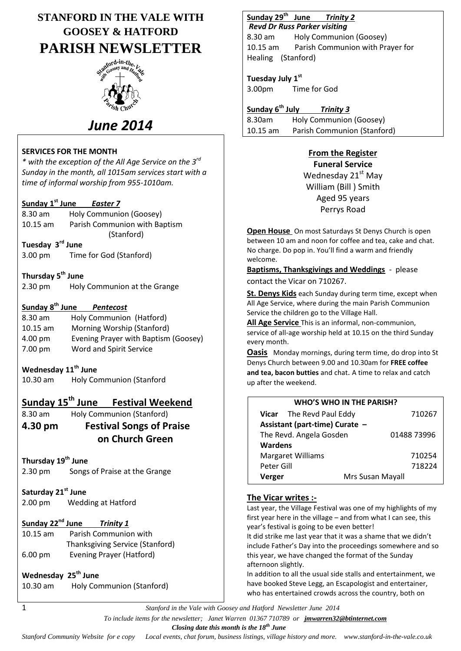# **STANFORD IN THE VALE WITH GOOSEY & HATFORD PARISH NEWSLETTER**



# *June 2014*

#### **SERVICES FOR THE MONTH**

*\* with the exception of the All Age Service on the 3rd Sunday in the month, all 1015am services start with a time of informal worship from 955-1010am.*

## **Sunday 1 st June** *Easter 7*

| 8.30 am          | Holy Communion (Goosey)       |  |  |
|------------------|-------------------------------|--|--|
| $10.15$ am       | Parish Communion with Baptism |  |  |
|                  | (Stanford)                    |  |  |
| Tuesday 3rd June |                               |  |  |

3.00 pm Time for God (Stanford)

## **Thursday 5 th June**

| 2.30 pm | Holy Communion at the Grange |
|---------|------------------------------|

## **Sunday 8th June** *Pentecost*

| Holy Communion (Hatford)             |
|--------------------------------------|
| Morning Worship (Stanford)           |
| Evening Prayer with Baptism (Goosey) |
| Word and Spirit Service              |
|                                      |

## **Wednesday 11th June**

10.30 am Holy Communion (Stanford

## **Sunday 15th June Festival Weekend**

8.30 am Holy Communion (Stanford)

**4.30 pm Festival Songs of Praise on Church Green**

## **Thursday 19th June**

- 2.30 pm Songs of Praise at the Grange
- **Saturday 21st June**
- 2.00 pm Wedding at Hatford

## **Sunday 22nd June** *Trinity 1*

10.15 am Parish Communion with Thanksgiving Service (Stanford) 6.00 pm Evening Prayer (Hatford)

## **Wednesday 25th June**

10.30 am Holy Communion (Stanford)

#### **Sunday 29th Trinity 2**

*Revd Dr Russ Parker visiting*  8.30 am Holy Communion (Goosey) 10.15 am Parish Communion with Prayer for Healing (Stanford)

**Tuesday July 1st** 3.00pm Time for God

**Sunday 6th July** *Trinity 3* 8.30am Holy Communion (Goosey) 10.15 am Parish Communion (Stanford)

## **From the Register**

**Funeral Service** Wednesday 21<sup>st</sup> May William (Bill ) Smith Aged 95 years Perrys Road

**Open House** On most Saturdays St Denys Church is open between 10 am and noon for coffee and tea, cake and chat. No charge. Do pop in. You'll find a warm and friendly welcome.

**Baptisms, Thanksgivings and Weddings** - please contact the Vicar on 710267.

**St. Denys Kids** each Sunday during term time, except when All Age Service, where during the main Parish Communion Service the children go to the Village Hall.

**All Age Service** This is an informal, non-communion, service of all-age worship held at 10.15 on the third Sunday every month.

**Oasis** Monday mornings, during term time, do drop into St Denys Church between 9.00 and 10.30am for **FREE coffee and tea, bacon butties** and chat. A time to relax and catch up after the weekend.

| <b>WHO'S WHO IN THE PARISH?</b> |                  |             |  |  |
|---------------------------------|------------------|-------------|--|--|
| Vicar The Revd Paul Eddy        |                  | 710267      |  |  |
| Assistant (part-time) Curate -  |                  |             |  |  |
| The Revd. Angela Gosden         |                  | 01488 73996 |  |  |
| <b>Wardens</b>                  |                  |             |  |  |
| <b>Margaret Williams</b>        |                  | 710254      |  |  |
| Peter Gill                      |                  | 718224      |  |  |
| Verger                          | Mrs Susan Mayall |             |  |  |

## **The Vicar writes :-**

Last year, the Village Festival was one of my highlights of my first year here in the village – and from what I can see, this year's festival is going to be even better!

It did strike me last year that it was a shame that we didn't include Father's Day into the proceedings somewhere and so this year, we have changed the format of the Sunday afternoon slightly.

In addition to all the usual side stalls and entertainment, we have booked Steve Legg, an Escapologist and entertainer, who has entertained crowds across the country, both on

1 *Stanford in the Vale with Goosey and Hatford Newsletter June 2014*

 *To include items for the newsletter; Janet Warren 01367 710789 or jmwarren32@btinternet.com*

 *Closing date this month is the 18th June*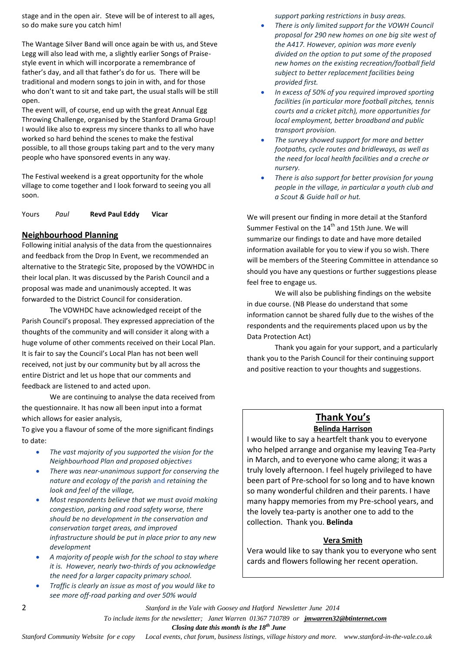stage and in the open air. Steve will be of interest to all ages, so do make sure you catch him!

The Wantage Silver Band will once again be with us, and Steve Legg will also lead with me, a slightly earlier Songs of Praisestyle event in which will incorporate a remembrance of father's day, and all that father's do for us. There will be traditional and modern songs to join in with, and for those who don't want to sit and take part, the usual stalls will be still open.

The event will, of course, end up with the great Annual Egg Throwing Challenge, organised by the Stanford Drama Group! I would like also to express my sincere thanks to all who have worked so hard behind the scenes to make the festival possible, to all those groups taking part and to the very many people who have sponsored events in any way.

The Festival weekend is a great opportunity for the whole village to come together and I look forward to seeing you all soon.

Yours *Paul* **Revd Paul Eddy Vicar**

#### **Neighbourhood Planning**

Following initial analysis of the data from the questionnaires and feedback from the Drop In Event, we recommended an alternative to the Strategic Site, proposed by the VOWHDC in their local plan. It was discussed by the Parish Council and a proposal was made and unanimously accepted. It was forwarded to the District Council for consideration.

The VOWHDC have acknowledged receipt of the Parish Council's proposal. They expressed appreciation of the thoughts of the community and will consider it along with a huge volume of other comments received on their Local Plan. It is fair to say the Council's Local Plan has not been well received, not just by our community but by all across the entire District and let us hope that our comments and feedback are listened to and acted upon.

We are continuing to analyse the data received from the questionnaire. It has now all been input into a format which allows for easier analysis,

To give you a flavour of some of the more significant findings to date:

- *The vast majority of you supported the vision for the Neighbourhood Plan and proposed objectives*
- *There was near-unanimous support for conserving the nature and ecology of the parish* and *retaining the look and feel of the village,*
- *Most respondents believe that we must avoid making congestion, parking and road safety worse, there should be no development in the conservation and conservation target areas, and improved infrastructure should be put in place prior to any new development*
- *A majority of people wish for the school to stay where it is. However, nearly two-thirds of you acknowledge the need for a larger capacity primary school.*
- *Traffic is clearly an issue as most of you would like to see more off-road parking and over 50% would*

*support parking restrictions in busy areas.*

- *There is only limited support for the VOWH Council proposal for 290 new homes on one big site west of the A417. However, opinion was more evenly divided on the option to put some of the proposed new homes on the existing recreation/football field subject to better replacement facilities being provided first.*
- *In excess of 50% of you required improved sporting facilities (in particular more football pitches, tennis courts and a cricket pitch), more opportunities for local employment, better broadband and public transport provision.*
- *The survey showed support for more and better footpaths, cycle routes and bridleways, as well as the need for local health facilities and a creche or nursery.*
- *There is also support for better provision for young people in the village, in particular a youth club and a Scout & Guide hall or hut.*

We will present our finding in more detail at the Stanford Summer Festival on the 14<sup>th</sup> and 15th June. We will summarize our findings to date and have more detailed information available for you to view if you so wish. There will be members of the Steering Committee in attendance so should you have any questions or further suggestions please feel free to engage us.

We will also be publishing findings on the website in due course. (NB Please do understand that some information cannot be shared fully due to the wishes of the respondents and the requirements placed upon us by the Data Protection Act)

Thank you again for your support, and a particularly thank you to the Parish Council for their continuing support and positive reaction to your thoughts and suggestions.

#### **Thank You's Belinda Harrison**

I would like to say a heartfelt thank you to everyone who helped arrange and organise my leaving Tea-Party in March, and to everyone who came along; it was a truly lovely afternoon. I feel hugely privileged to have been part of Pre-school for so long and to have known so many wonderful children and their parents. I have many happy memories from my Pre-school years, and the lovely tea-party is another one to add to the collection. Thank you. **Belinda**

#### **Vera Smith**

Vera would like to say thank you to everyone who sent cards and flowers following her recent operation.

2 *Stanford in the Vale with Goosey and Hatford Newsletter June 2014*

 *To include items for the newsletter; Janet Warren 01367 710789 or jmwarren32@btinternet.com*

 *Closing date this month is the 18th June*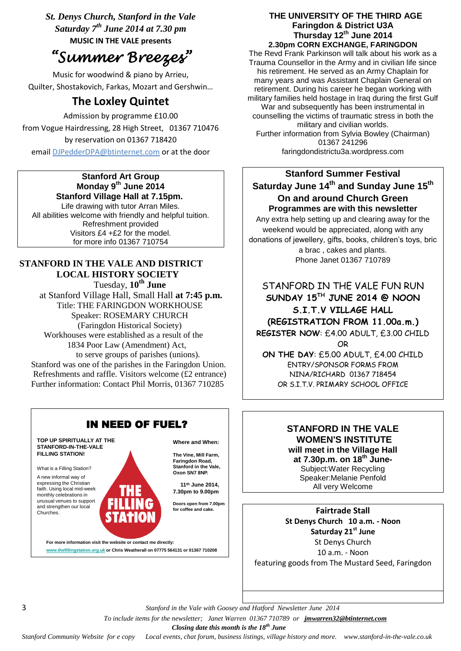*St. Denys Church, Stanford in the Vale Saturday 7th June 2014 at 7.30 pm* **MUSIC IN THE VALE presents**

# *"Summer Breezes"*

Music for woodwind & piano by Arrieu, Quilter, Shostakovich, Farkas, Mozart and Gershwin…

## **The Loxley Quintet**

Admission by programme £10.00 from Vogue Hairdressing, 28 High Street, 01367 710476 by reservation on 01367 718420

email [DJPedderDPA@btinternet.com](mailto:DJPedderDPA@btinternet.com) or at the door

#### **Stanford Art Group Monday 9 th June 2014 Stanford Village Hall at 7.15pm.**

Life drawing with tutor Arran Miles. All abilities welcome with friendly and helpful tuition. Refreshment provided Visitors £4 +£2 for the model. for more info 01367 710754

## **STANFORD IN THE VALE AND DISTRICT LOCAL HISTORY SOCIETY**

Tuesday, **10th June** at Stanford Village Hall, Small Hall **at 7:45 p.m.** Title: THE FARINGDON WORKHOUSE Speaker: ROSEMARY CHURCH (Faringdon Historical Society) Workhouses were established as a result of the 1834 Poor Law (Amendment) Act, to serve groups of parishes (unions). Stanford was one of the parishes in the Faringdon Union. Refreshments and raffle. Visitors welcome (£2 entrance) Further information: Contact Phil Morris, 01367 710285



#### **THE UNIVERSITY OF THE THIRD AGE Faringdon & District U3A Thursday 12th June 2014 2.30pm CORN EXCHANGE, FARINGDON**

The Revd Frank Parkinson will talk about his work as a Trauma Counsellor in the Army and in civilian life since his retirement. He served as an Army Chaplain for many years and was Assistant Chaplain General on retirement. During his career he began working with military families held hostage in Iraq during the first Gulf War and subsequently has been instrumental in counselling the victims of traumatic stress in both the military and civilian worlds. Further information from Sylvia Bowley (Chairman) 01367 241296 faringdondistrictu3a.wordpress.com

## **Stanford Summer Festival** Saturday June 14<sup>th</sup> and Sunday June 15<sup>th</sup> **On and around Church Green Programmes are with this newsletter**

Any extra help setting up and clearing away for the weekend would be appreciated, along with any donations of jewellery, gifts, books, children's toys, bric a brac , cakes and plants. Phone Janet 01367 710789

## STANFORD IN THE VALE FUN RUN **SUNDAY 15TH JUNE 2014 @ NOON S.I.T.V VILLAGE HALL (REGISTRATION FROM 11.00a.m.) REGISTER NOW**: £4.00 ADULT, £3.00 CHILD

OR

**ON THE DAY**: £5.00 ADULT, £4.00 CHILD ENTRY/SPONSOR FORMS FROM NINA/RICHARD 01367 718454 OR S.I.T.V. PRIMARY SCHOOL OFFICE

#### **STANFORD IN THE VALE WOMEN'S INSTITUTE will meet in the Village Hall at 7.30p.m. on 18th June-**Subject:Water Recycling Speaker:Melanie Penfold All very Welcome

**Fairtrade Stall St Denys Church 10 a.m. - Noon Saturday 21st June** St Denys Church 10 a.m. - Noon featuring goods from The Mustard Seed, Faringdon

3 *Stanford in the Vale with Goosey and Hatford Newsletter June 2014*

 *To include items for the newsletter; Janet Warren 01367 710789 or jmwarren32@btinternet.com*

 *Closing date this month is the 18th June*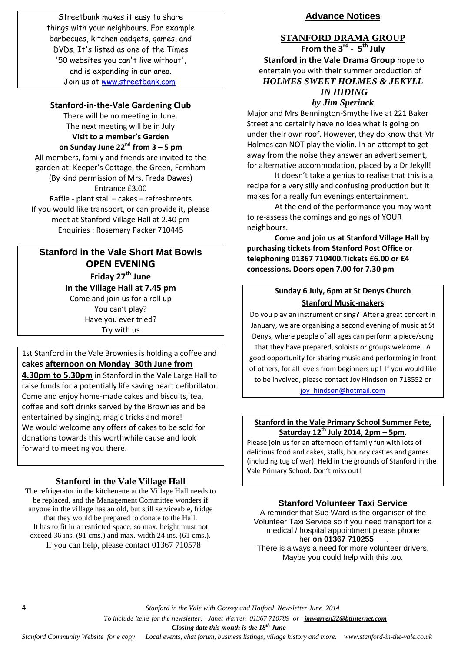Streetbank makes it easy to share things with your neighbours. For example barbecues, kitchen gadgets, games, and DVDs. It's listed as one of the Times '50 websites you can't live without', and is expanding in our area. Join us at [www.streetbank.com](http://www.streetbank.com/)

#### **Stanford-in-the-Vale Gardening Club**

There will be no meeting in June. The next meeting will be in July **Visit to a member's Garden on Sunday June 22nd from 3 – 5 pm** All members, family and friends are invited to the garden at: Keeper's Cottage, the Green, Fernham (By kind permission of Mrs. Freda Dawes) Entrance £3.00 Raffle - plant stall – cakes – refreshments If you would like transport, or can provide it, please meet at Stanford Village Hall at 2.40 pm Enquiries : Rosemary Packer 710445

## **Stanford in the Vale Short Mat Bowls OPEN EVENING Friday 27th June In the Village Hall at 7.45 pm** Come and join us for a roll up You can't play? Have you ever tried? Try with us

## 1st Stanford in the Vale Brownies is holding a coffee and **cakes [afternoon on Monday 30th June from](x-apple-data-detectors://0/)**

**[4.30pm to 5.30pm](x-apple-data-detectors://0/)** in Stanford in the Vale Large Hall to raise funds for a potentially life saving heart defibrillator. Come and enjoy home-made cakes and biscuits, tea, coffee and soft drinks served by the Brownies and be entertained by singing, magic tricks and more! We would welcome any offers of cakes to be sold for donations towards this worthwhile cause and look forward to meeting you there.

## **Stanford in the Vale Village Hall**

The refrigerator in the kitchenette at the Village Hall needs to be replaced, and the Management Committee wonders if anyone in the village has an old, but still serviceable, fridge that they would be prepared to donate to the Hall. It has to fit in a restricted space, so max. height must not exceed 36 ins. (91 cms.) and max. width 24 ins. (61 cms.). If you can help, please contact 01367 710578

## **Advance Notices**

# **STANFORD DRAMA GROUP**

**From the 3rd - 5 th July Stanford in the Vale Drama Group** hope to entertain you with their summer production of *HOLMES SWEET HOLMES & JEKYLL IN HIDING by Jim Sperinck*

Major and Mrs Bennington-Smythe live at 221 Baker Street and certainly have no idea what is going on under their own roof. However, they do know that Mr Holmes can NOT play the violin. In an attempt to get away from the noise they answer an advertisement, for alternative accommodation, placed by a Dr Jekyll!

It doesn't take a genius to realise that this is a recipe for a very silly and confusing production but it makes for a really fun evenings entertainment.

At the end of the performance you may want to re-assess the comings and goings of YOUR neighbours.

**Come and join us at Stanford Village Hall by purchasing tickets from Stanford Post Office or telephoning 01367 710400.Tickets £6.00 or £4 concessions. Doors open 7.00 for 7.30 pm**

#### **Sunday 6 July, 6pm at St Denys Church Stanford Music-makers**

Do you play an instrument or sing? After a great concert in January, we are organising a second evening of music at St Denys, where people of all ages can perform a piece/song that they have prepared, soloists or groups welcome. A good opportunity for sharing music and performing in front of others, for all levels from beginners up! If you would like to be involved, please contact Joy Hindson on 718552 or [joy\\_hindson@hotmail.com](mailto:joy_hindson@hotmail.com)

#### **Stanford in the Vale Primary School Summer Fete, Saturday 12th July 2014, 2pm – 5pm.**

Please join us for an afternoon of family fun with lots of delicious food and cakes, stalls, bouncy castles and games (including tug of war). Held in the grounds of Stanford in the Vale Primary School. Don't miss out!

**Stanford Volunteer Taxi Service**

A reminder that Sue Ward is the organiser of the Volunteer Taxi Service so if you need transport for a medical / hospital appointment please phone her **on 01367 710255** . There is always a need for more volunteer drivers. Maybe you could help with this too.

4 *Stanford in the Vale with Goosey and Hatford Newsletter June 2014*

 *To include items for the newsletter; Janet Warren 01367 710789 or jmwarren32@btinternet.com*

 *Closing date this month is the 18th June*